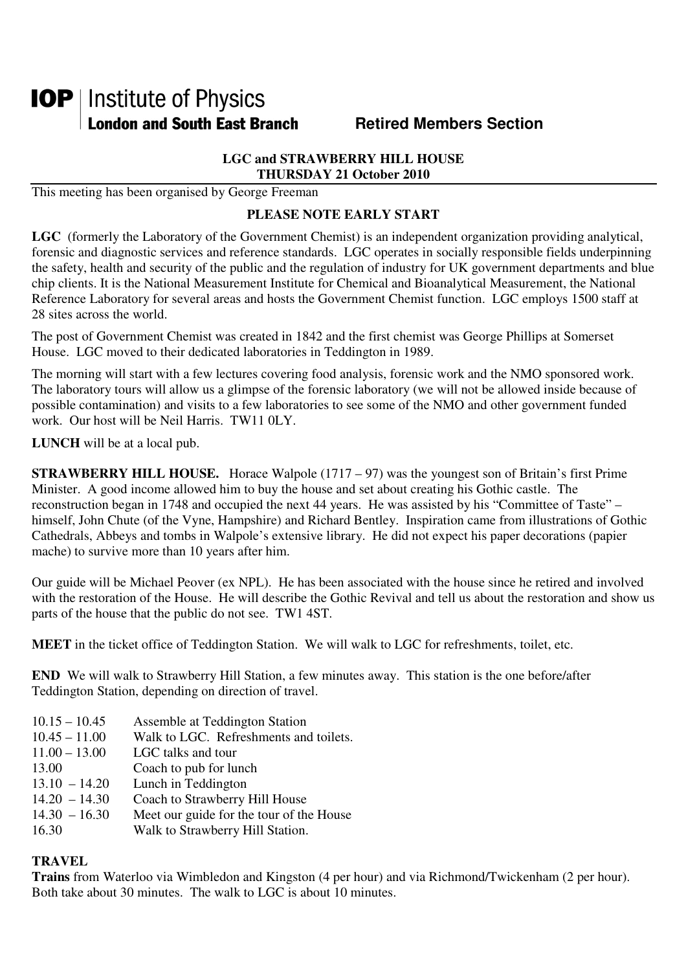# **IOP** | Institute of Physics **London and South East Branch Famely Retired Members Section**

#### **LGC and STRAWBERRY HILL HOUSE THURSDAY 21 October 2010**

This meeting has been organised by George Freeman

# **PLEASE NOTE EARLY START**

**LGC** (formerly the Laboratory of the Government Chemist) is an independent organization providing analytical, forensic and diagnostic services and reference standards. LGC operates in socially responsible fields underpinning the safety, health and security of the public and the regulation of industry for UK government departments and blue chip clients. It is the National Measurement Institute for Chemical and Bioanalytical Measurement, the National Reference Laboratory for several areas and hosts the Government Chemist function. LGC employs 1500 staff at 28 sites across the world.

The post of Government Chemist was created in 1842 and the first chemist was George Phillips at Somerset House. LGC moved to their dedicated laboratories in Teddington in 1989.

The morning will start with a few lectures covering food analysis, forensic work and the NMO sponsored work. The laboratory tours will allow us a glimpse of the forensic laboratory (we will not be allowed inside because of possible contamination) and visits to a few laboratories to see some of the NMO and other government funded work. Our host will be Neil Harris. TW11 0LY.

**LUNCH** will be at a local pub.

**STRAWBERRY HILL HOUSE.** Horace Walpole (1717 – 97) was the youngest son of Britain's first Prime Minister. A good income allowed him to buy the house and set about creating his Gothic castle. The reconstruction began in 1748 and occupied the next 44 years. He was assisted by his "Committee of Taste" – himself, John Chute (of the Vyne, Hampshire) and Richard Bentley. Inspiration came from illustrations of Gothic Cathedrals, Abbeys and tombs in Walpole's extensive library. He did not expect his paper decorations (papier mache) to survive more than 10 years after him.

Our guide will be Michael Peover (ex NPL). He has been associated with the house since he retired and involved with the restoration of the House. He will describe the Gothic Revival and tell us about the restoration and show us parts of the house that the public do not see. TW1 4ST.

**MEET** in the ticket office of Teddington Station. We will walk to LGC for refreshments, toilet, etc.

**END** We will walk to Strawberry Hill Station, a few minutes away. This station is the one before/after Teddington Station, depending on direction of travel.

10.15 – 10.45 Assemble at Teddington Station 10.45 – 11.00 Walk to LGC. Refreshments and toilets. 11.00 – 13.00 LGC talks and tour 13.00 Coach to pub for lunch<br>13.10 - 14.20 Lunch in Teddington Lunch in Teddington  $14.20 - 14.30$  Coach to Strawberry Hill House<br> $14.30 - 16.30$  Meet our guide for the tour of th  $14.30 - 16.30$  Meet our guide for the tour of the House<br>16.30 Walk to Strawberry Hill Station Walk to Strawberry Hill Station.

# **TRAVEL**

**Trains** from Waterloo via Wimbledon and Kingston (4 per hour) and via Richmond/Twickenham (2 per hour). Both take about 30 minutes. The walk to LGC is about 10 minutes.